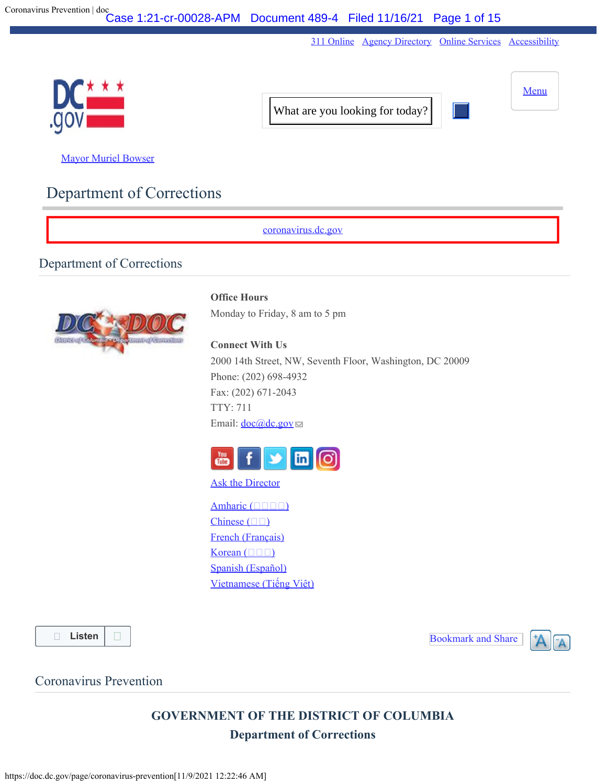[311 Online](https://311.dc.gov/citizen/home) [Agency Directory](https://dc.gov/directory) [Online Services](https://dc.gov/online-services) [Accessibility](https://dc.gov/page/dcgov-accessibility-policy)

<span id="page-0-0"></span>

**[Mayor Muriel Bowser](http://mayor.dc.gov/)** 

# Department of Corrections

[coronavirus.dc.gov](http://coronavirus.dc.gov/)

# Department of Corrections



## **Office Hours**

Monday to Friday, 8 am to 5 pm

#### **Connect With Us**

2000 14th Street, NW, Seventh Floor, Washington, DC 20009 Phone: (202) 698-4932 Fax: (202) 671-2043 TTY: 711 Email:  $\frac{\text{doc}(\textcircled{a})\text{dc.gov}}{$ 



#### [Ask the Director](https://dcforms.dc.gov/webform/dc-department-correction-ask-director)

[Amharic \(](https://doc.dc.gov/page/amharic-%E1%8A%A0%E1%88%9B%E1%88%AD%E1%8A%9B-5) $\Box$ Chinese  $(\square \square)$  $(\square \square)$ [French \(Français\)](https://doc.dc.gov/page/french-fran%C3%A7ais-5) Korean  $(\Box \Box \Box)$  $(\Box \Box \Box)$ [Spanish \(Español\)](https://doc.dc.gov/page/spanish-espa%C3%B1ol-2) [Vietnamese \(Ti](https://doc.dc.gov/page/vietnamese-ti%E1%BA%BFng-vi%E1%BB%87t-5)[ế](https://doc.dc.gov/page/vietnamese-ti%E1%BA%BFng-vi%E1%BB%87t-5)[ng Vi](https://doc.dc.gov/page/vietnamese-ti%E1%BA%BFng-vi%E1%BB%87t-5)[ệ](https://doc.dc.gov/page/vietnamese-ti%E1%BA%BFng-vi%E1%BB%87t-5)[t\)](https://doc.dc.gov/page/vietnamese-ti%E1%BA%BFng-vi%E1%BB%87t-5)

**[Listen](https://app-na.readspeaker.com/cgi-bin/rsent?customerid=6295&lang=en_us&readid=content-start&url=https://doc.dc.gov/page/coronavirus-prevention)**

Bookmark and Share



# Coronavirus Prevention

**GOVERNMENT OF THE DISTRICT OF COLUMBIA Department of Corrections**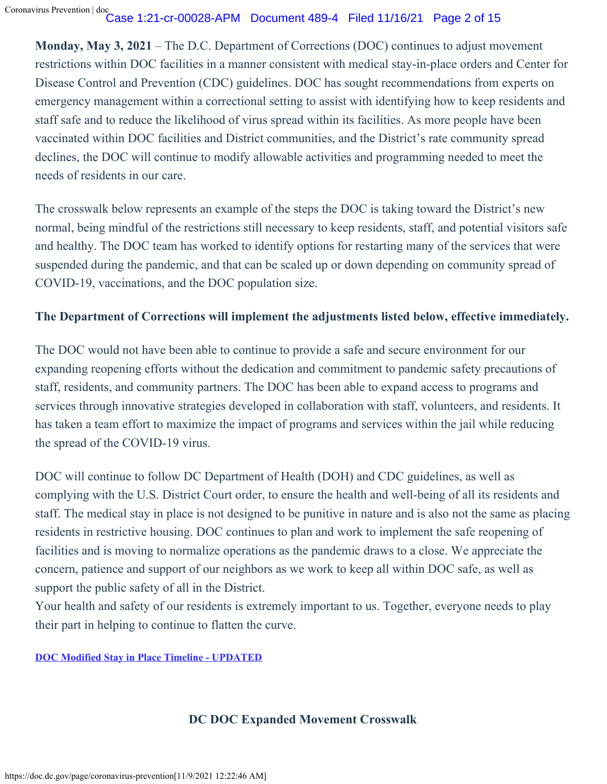**Monday, May 3, 2021** – The D.C. Department of Corrections (DOC) continues to adjust movement restrictions within DOC facilities in a manner consistent with medical stay-in-place orders and Center for Disease Control and Prevention (CDC) guidelines. DOC has sought recommendations from experts on emergency management within a correctional setting to assist with identifying how to keep residents and staff safe and to reduce the likelihood of virus spread within its facilities. As more people have been vaccinated within DOC facilities and District communities, and the District's rate community spread declines, the DOC will continue to modify allowable activities and programming needed to meet the needs of residents in our care.

The crosswalk below represents an example of the steps the DOC is taking toward the District's new normal, being mindful of the restrictions still necessary to keep residents, staff, and potential visitors safe and healthy. The DOC team has worked to identify options for restarting many of the services that were suspended during the pandemic, and that can be scaled up or down depending on community spread of COVID-19, vaccinations, and the DOC population size.

# **The Department of Corrections will implement the adjustments listed below, effective immediately.**

The DOC would not have been able to continue to provide a safe and secure environment for our expanding reopening efforts without the dedication and commitment to pandemic safety precautions of staff, residents, and community partners. The DOC has been able to expand access to programs and services through innovative strategies developed in collaboration with staff, volunteers, and residents. It has taken a team effort to maximize the impact of programs and services within the jail while reducing the spread of the COVID-19 virus.

DOC will continue to follow DC Department of Health (DOH) and CDC guidelines, as well as complying with the U.S. District Court order, to ensure the health and well-being of all its residents and staff. The medical stay in place is not designed to be punitive in nature and is also not the same as placing residents in restrictive housing. DOC continues to plan and work to implement the safe reopening of facilities and is moving to normalize operations as the pandemic draws to a close. We appreciate the concern, patience and support of our neighbors as we work to keep all within DOC safe, as well as support the public safety of all in the District.

Your health and safety of our residents is extremely important to us. Together, everyone needs to play their part in helping to continue to flatten the curve.

**[DOC Modified Stay in Place Timeline - UPDATED](https://doc.dc.gov/sites/default/files/dc/sites/doc/page_content/attachments/DOC%20Modified%20Medical%20Stay%20in%20Place%20Timeline.pdf)**

# **DC DOC Expanded Movement Crosswalk**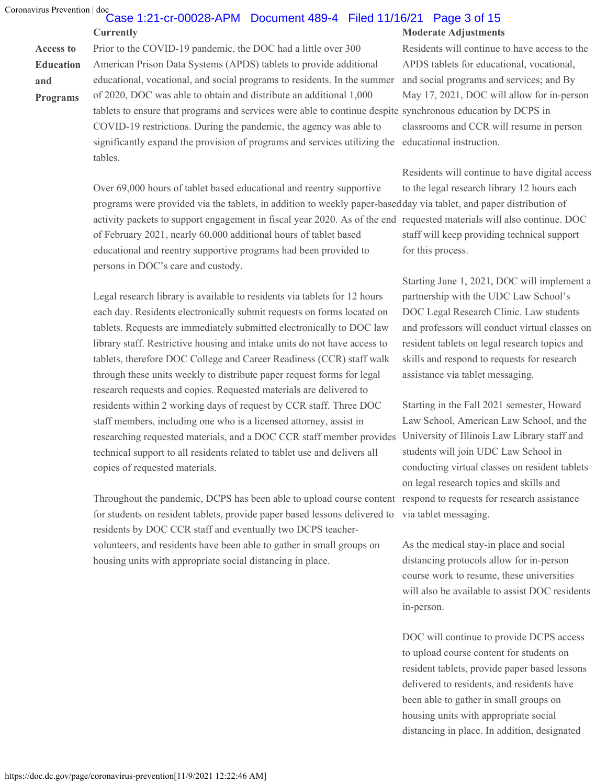**and**

## **Currently Moderate Adjustments** Case 1:21-cr-00028-APM Document 489-4 Filed 11/16/21 Page 3 of 15

**Access to Education Programs** Prior to the COVID-19 pandemic, the DOC had a little over 300 American Prison Data Systems (APDS) tablets to provide additional educational, vocational, and social programs to residents. In the summer of 2020, DOC was able to obtain and distribute an additional 1,000 tablets to ensure that programs and services were able to continue despite synchronous education by DCPS in COVID-19 restrictions. During the pandemic, the agency was able to significantly expand the provision of programs and services utilizing the educational instruction. tables.

> Over 69,000 hours of tablet based educational and reentry supportive programs were provided via the tablets, in addition to weekly paper-based day via tablet, and paper distribution of activity packets to support engagement in fiscal year 2020. As of the end requested materials will also continue. DOC of February 2021, nearly 60,000 additional hours of tablet based educational and reentry supportive programs had been provided to persons in DOC's care and custody.

Legal research library is available to residents via tablets for 12 hours each day. Residents electronically submit requests on forms located on tablets. Requests are immediately submitted electronically to DOC law library staff. Restrictive housing and intake units do not have access to tablets, therefore DOC College and Career Readiness (CCR) staff walk through these units weekly to distribute paper request forms for legal research requests and copies. Requested materials are delivered to residents within 2 working days of request by CCR staff. Three DOC staff members, including one who is a licensed attorney, assist in researching requested materials, and a DOC CCR staff member provides technical support to all residents related to tablet use and delivers all copies of requested materials.

Throughout the pandemic, DCPS has been able to upload course content respond to requests for research assistance for students on resident tablets, provide paper based lessons delivered to residents by DOC CCR staff and eventually two DCPS teachervolunteers, and residents have been able to gather in small groups on housing units with appropriate social distancing in place.

Residents will continue to have access to the APDS tablets for educational, vocational, and social programs and services; and By May 17, 2021, DOC will allow for in-person classrooms and CCR will resume in person

Residents will continue to have digital access to the legal research library 12 hours each staff will keep providing technical support for this process.

Starting June 1, 2021, DOC will implement a partnership with the UDC Law School's DOC Legal Research Clinic. Law students and professors will conduct virtual classes on resident tablets on legal research topics and skills and respond to requests for research assistance via tablet messaging.

Starting in the Fall 2021 semester, Howard Law School, American Law School, and the University of Illinois Law Library staff and students will join UDC Law School in conducting virtual classes on resident tablets on legal research topics and skills and via tablet messaging.

As the medical stay-in place and social distancing protocols allow for in-person course work to resume, these universities will also be available to assist DOC residents in-person.

DOC will continue to provide DCPS access to upload course content for students on resident tablets, provide paper based lessons delivered to residents, and residents have been able to gather in small groups on housing units with appropriate social distancing in place. In addition, designated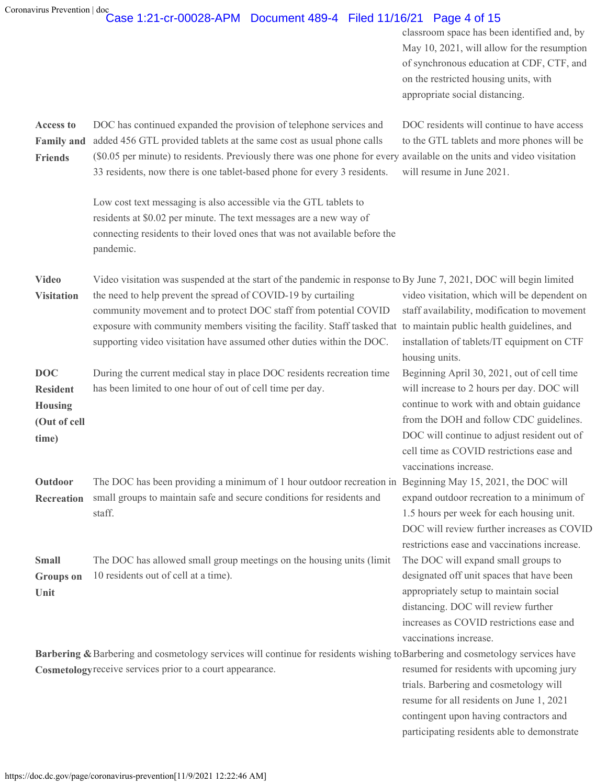# Case 1:21-cr-00028-APM Document 489-4 Filed 11/16/21 Page 4 of 15

classroom space has been identified and, by May 10, 2021, will allow for the resumption of synchronous education at CDF, CTF, and on the restricted housing units, with appropriate social distancing.

**Access to Family and Friends** DOC has continued expanded the provision of telephone services and added 456 GTL provided tablets at the same cost as usual phone calls (\$0.05 per minute) to residents. Previously there was one phone for every available on the units and video visitation 33 residents, now there is one tablet-based phone for every 3 residents. will resume in June 2021.

> Low cost text messaging is also accessible via the GTL tablets to residents at \$0.02 per minute. The text messages are a new way of connecting residents to their loved ones that was not available before the pandemic.

DOC residents will continue to have access to the GTL tablets and more phones will be

| <b>Video</b>      | Video visitation was suspended at the start of the pandemic in response to By June 7, 2021, DOC will begin limited |                                              |
|-------------------|--------------------------------------------------------------------------------------------------------------------|----------------------------------------------|
| <b>Visitation</b> | the need to help prevent the spread of COVID-19 by curtailing                                                      | video visitation, which will be dependent on |
|                   | community movement and to protect DOC staff from potential COVID                                                   | staff availability, modification to movement |
|                   | exposure with community members visiting the facility. Staff tasked that to maintain public health guidelines, and |                                              |
|                   | supporting video visitation have assumed other duties within the DOC.                                              | installation of tablets/IT equipment on CTF  |
|                   |                                                                                                                    | housing units.                               |
| DOC               | During the current medical stay in place DOC residents recreation time                                             | Beginning April 30, 2021, out of cell time   |
| <b>Resident</b>   | has been limited to one hour of out of cell time per day.                                                          | will increase to 2 hours per day. DOC will   |
| <b>Housing</b>    |                                                                                                                    | continue to work with and obtain guidance    |
| (Out of cell      |                                                                                                                    | from the DOH and follow CDC guidelines.      |

**time)**

**Outdoor Recreation** The DOC has been providing a minimum of 1 hour outdoor recreation in Beginning May 15, 2021, the DOC will small groups to maintain safe and secure conditions for residents and staff.

**Small Groups on Unit** The DOC has allowed small group meetings on the housing units (limit 10 residents out of cell at a time).

Barbering & Barbering and cosmetology services will continue for residents wishing to Barbering and cosmetology services have **Cosmetology** receive services prior to a court appearance.

resumed for residents with upcoming jury trials. Barbering and cosmetology will resume for all residents on June 1, 2021 contingent upon having contractors and participating residents able to demonstrate

DOC will continue to adjust resident out of cell time as COVID restrictions ease and

expand outdoor recreation to a minimum of 1.5 hours per week for each housing unit. DOC will review further increases as COVID restrictions ease and vaccinations increase.

The DOC will expand small groups to designated off unit spaces that have been appropriately setup to maintain social distancing. DOC will review further increases as COVID restrictions ease and

vaccinations increase.

vaccinations increase.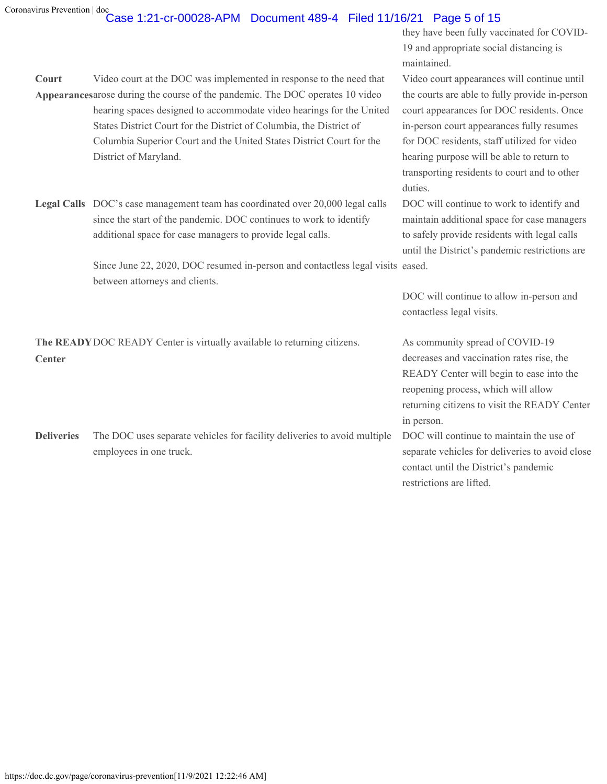### **Court** Appearances arose during the course of the pandemic. The DOC operates 10 video Video court at the DOC was implemented in response to the need that hearing spaces designed to accommodate video hearings for the United States District Court for the District of Columbia, the District of Columbia Superior Court and the United States District Court for the District of Maryland.

**Legal Calls** DOC's case management team has coordinated over 20,000 legal calls since the start of the pandemic. DOC continues to work to identify additional space for case managers to provide legal calls.

> Since June 22, 2020, DOC resumed in-person and contactless legal visits eased. between attorneys and clients.

**The READY** DOC READY Center is virtually available to returning citizens. As community spread of COVID-19 **Center**

**Deliveries** The DOC uses separate vehicles for facility deliveries to avoid multiple employees in one truck.

they have been fully vaccinated for COVID-19 and appropriate social distancing is maintained.

Video court appearances will continue until the courts are able to fully provide in-person court appearances for DOC residents. Once in-person court appearances fully resumes for DOC residents, staff utilized for video hearing purpose will be able to return to transporting residents to court and to other duties.

DOC will continue to work to identify and maintain additional space for case managers to safely provide residents with legal calls until the District's pandemic restrictions are

DOC will continue to allow in-person and contactless legal visits.

decreases and vaccination rates rise, the READY Center will begin to ease into the reopening process, which will allow returning citizens to visit the READY Center in person.

DOC will continue to maintain the use of separate vehicles for deliveries to avoid close contact until the District's pandemic restrictions are lifted.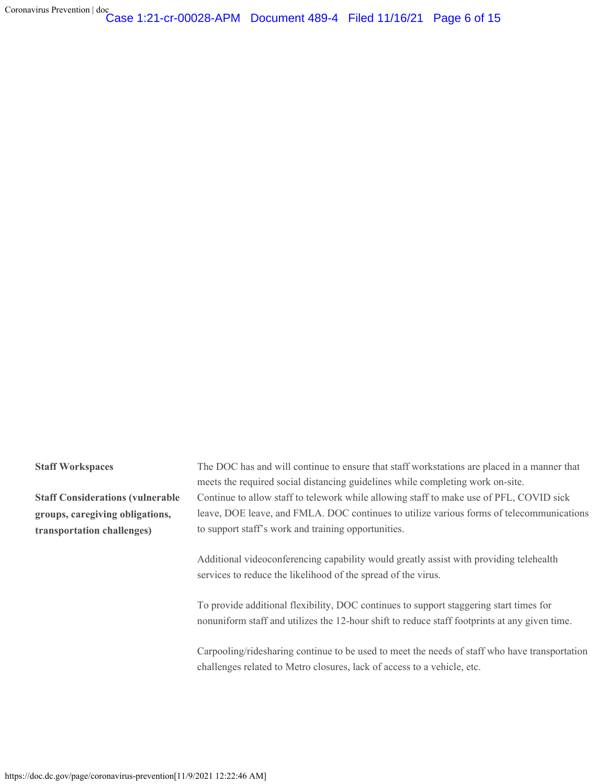Coronavirus Prevention | doc Case 1:21-cr-00028-APM Document 489-4 Filed 11/16/21 Page 6 of 15

**Staff Considerations (vulnerable groups, caregiving obligations, transportation challenges)**

**Staff Workspaces** The DOC has and will continue to ensure that staff workstations are placed in a manner that meets the required social distancing guidelines while completing work on-site. Continue to allow staff to telework while allowing staff to make use of PFL, COVID sick leave, DOE leave, and FMLA. DOC continues to utilize various forms of telecommunications to support staff's work and training opportunities.

> Additional videoconferencing capability would greatly assist with providing telehealth services to reduce the likelihood of the spread of the virus.

To provide additional flexibility, DOC continues to support staggering start times for nonuniform staff and utilizes the 12-hour shift to reduce staff footprints at any given time.

Carpooling/ridesharing continue to be used to meet the needs of staff who have transportation challenges related to Metro closures, lack of access to a vehicle, etc.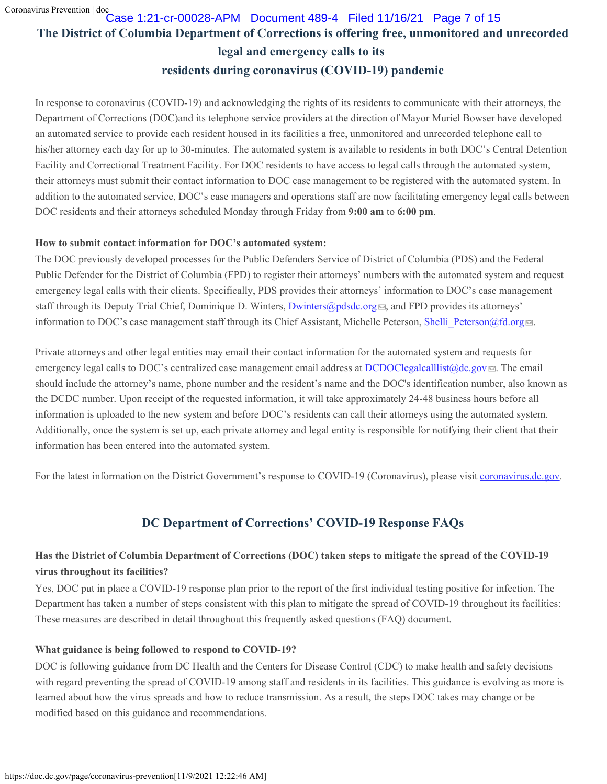# **The District of Columbia Department of Corrections is offering free, unmonitored and unrecorded legal and emergency calls to its residents during coronavirus (COVID-19) pandemic** Case 1:21-cr-00028-APM Document 489-4 Filed 11/16/21 Page 7 of 15

In response to coronavirus (COVID-19) and acknowledging the rights of its residents to communicate with their attorneys, the Department of Corrections (DOC)and its telephone service providers at the direction of Mayor Muriel Bowser have developed an automated service to provide each resident housed in its facilities a free, unmonitored and unrecorded telephone call to his/her attorney each day for up to 30-minutes. The automated system is available to residents in both DOC's Central Detention Facility and Correctional Treatment Facility. For DOC residents to have access to legal calls through the automated system, their attorneys must submit their contact information to DOC case management to be registered with the automated system. In addition to the automated service, DOC's case managers and operations staff are now facilitating emergency legal calls between DOC residents and their attorneys scheduled Monday through Friday from **9:00 am** to **6:00 pm**.

#### **How to submit contact information for DOC's automated system:**

The DOC previously developed processes for the Public Defenders Service of District of Columbia (PDS) and the Federal Public Defender for the District of Columbia (FPD) to register their attorneys' numbers with the automated system and request emergency legal calls with their clients. Specifically, PDS provides their attorneys' information to DOC's case management staff through its Deputy Trial Chief, Dominique D. Winters, [Dwinters@pdsdc.org](mailto:Dwinters@pdsdc.org) **a**, and FPD provides its attorneys' information to DOC's case management staff through its Chief Assistant, Michelle Peterson, Shelli Peterson@fd.org ...

Private attorneys and other legal entities may email their contact information for the automated system and requests for emergency legal calls to DOC's centralized case management email address at [DCDOClegalcalllist@dc.gov](mailto:DCDOClegalcalllist@dc.gov) . The email should include the attorney's name, phone number and the resident's name and the DOC's identification number, also known as the DCDC number. Upon receipt of the requested information, it will take approximately 24-48 business hours before all information is uploaded to the new system and before DOC's residents can call their attorneys using the automated system. Additionally, once the system is set up, each private attorney and legal entity is responsible for notifying their client that their information has been entered into the automated system.

For the latest information on the District Government's response to COVID-19 (Coronavirus), please visit [coronavirus.dc.gov](https://coronavirus.dc.gov./).

# **DC Department of Corrections' COVID-19 Response FAQs**

# **Has the District of Columbia Department of Corrections (DOC) taken steps to mitigate the spread of the COVID-19 virus throughout its facilities?**

Yes, DOC put in place a COVID-19 response plan prior to the report of the first individual testing positive for infection. The Department has taken a number of steps consistent with this plan to mitigate the spread of COVID-19 throughout its facilities: These measures are described in detail throughout this frequently asked questions (FAQ) document.

#### **What guidance is being followed to respond to COVID-19?**

DOC is following guidance from DC Health and the Centers for Disease Control (CDC) to make health and safety decisions with regard preventing the spread of COVID-19 among staff and residents in its facilities. This guidance is evolving as more is learned about how the virus spreads and how to reduce transmission. As a result, the steps DOC takes may change or be modified based on this guidance and recommendations.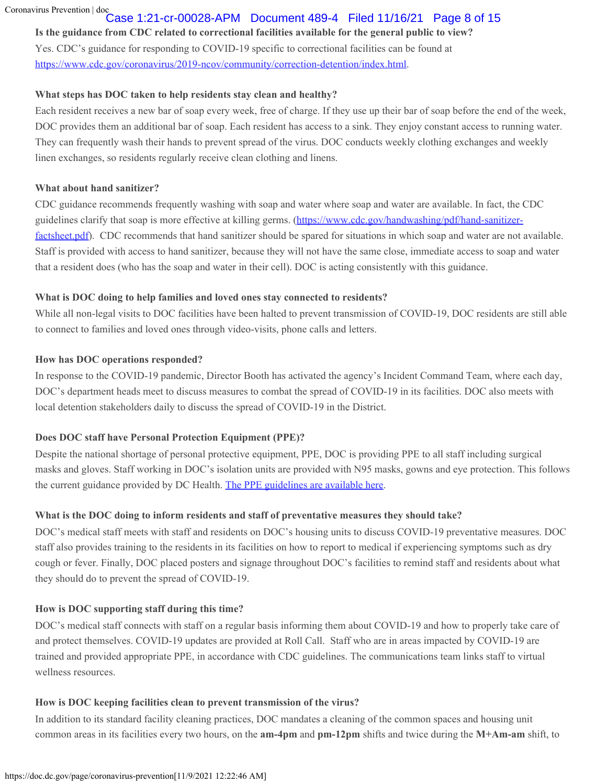#### Case 1:21-cr-00028-APM Document 489-4 Filed 11/16/21 Page 8 of 15

#### **Is the guidance from CDC related to correctional facilities available for the general public to view?**

Yes. CDC's guidance for responding to COVID-19 specific to correctional facilities can be found at <https://www.cdc.gov/coronavirus/2019-ncov/community/correction-detention/index.html>.

#### **What steps has DOC taken to help residents stay clean and healthy?**

Each resident receives a new bar of soap every week, free of charge. If they use up their bar of soap before the end of the week, DOC provides them an additional bar of soap. Each resident has access to a sink. They enjoy constant access to running water. They can frequently wash their hands to prevent spread of the virus. DOC conducts weekly clothing exchanges and weekly linen exchanges, so residents regularly receive clean clothing and linens.

#### **What about hand sanitizer?**

CDC guidance recommends frequently washing with soap and water where soap and water are available. In fact, the CDC guidelines clarify that soap is more effective at killing germs. [\(https://www.cdc.gov/handwashing/pdf/hand-sanitizer](https://www.cdc.gov/handwashing/pdf/hand-sanitizer-factsheet.pdf)[factsheet.pdf](https://www.cdc.gov/handwashing/pdf/hand-sanitizer-factsheet.pdf)). CDC recommends that hand sanitizer should be spared for situations in which soap and water are not available. Staff is provided with access to hand sanitizer, because they will not have the same close, immediate access to soap and water that a resident does (who has the soap and water in their cell). DOC is acting consistently with this guidance.

#### **What is DOC doing to help families and loved ones stay connected to residents?**

While all non-legal visits to DOC facilities have been halted to prevent transmission of COVID-19, DOC residents are still able to connect to families and loved ones through video-visits, phone calls and letters.

#### **How has DOC operations responded?**

In response to the COVID-19 pandemic, Director Booth has activated the agency's Incident Command Team, where each day, DOC's department heads meet to discuss measures to combat the spread of COVID-19 in its facilities. DOC also meets with local detention stakeholders daily to discuss the spread of COVID-19 in the District.

#### **Does DOC staff have Personal Protection Equipment (PPE)?**

Despite the national shortage of personal protective equipment, PPE, DOC is providing PPE to all staff including surgical masks and gloves. Staff working in DOC's isolation units are provided with N95 masks, gowns and eye protection. This follows the current guidance provided by DC Health. [The PPE guidelines are available here](https://doc.dc.gov/sites/default/files/dc/sites/doc/page_content/attachments/DOC-PPE-Infographic.pdf).

#### **What is the DOC doing to inform residents and staff of preventative measures they should take?**

DOC's medical staff meets with staff and residents on DOC's housing units to discuss COVID-19 preventative measures. DOC staff also provides training to the residents in its facilities on how to report to medical if experiencing symptoms such as dry cough or fever. Finally, DOC placed posters and signage throughout DOC's facilities to remind staff and residents about what they should do to prevent the spread of COVID-19.

#### **How is DOC supporting staff during this time?**

DOC's medical staff connects with staff on a regular basis informing them about COVID-19 and how to properly take care of and protect themselves. COVID-19 updates are provided at Roll Call. Staff who are in areas impacted by COVID-19 are trained and provided appropriate PPE, in accordance with CDC guidelines. The communications team links staff to virtual wellness resources.

#### **How is DOC keeping facilities clean to prevent transmission of the virus?**

In addition to its standard facility cleaning practices, DOC mandates a cleaning of the common spaces and housing unit common areas in its facilities every two hours, on the **am-4pm** and **pm-12pm** shifts and twice during the **M+Am-am** shift, to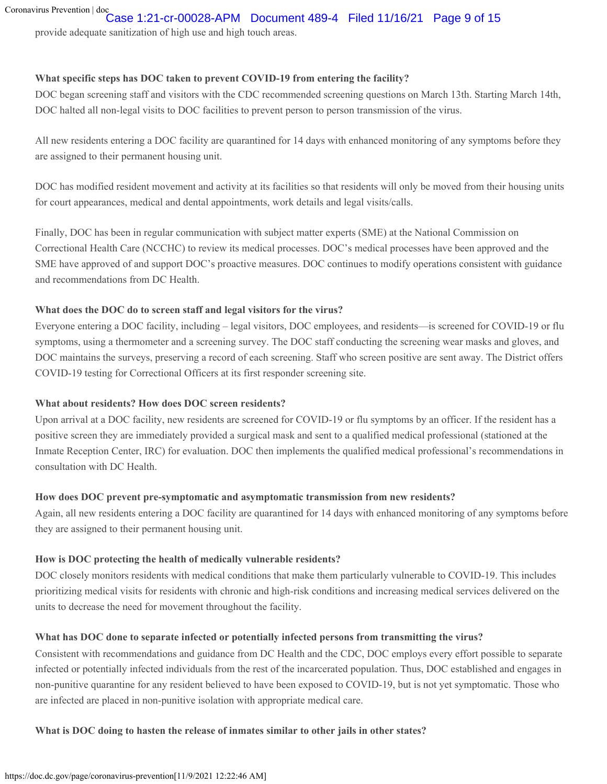# Case 1:21-cr-00028-APM Document 489-4 Filed 11/16/21 Page 9 of 15

provide adequate sanitization of high use and high touch areas.

## **What specific steps has DOC taken to prevent COVID-19 from entering the facility?**

DOC began screening staff and visitors with the CDC recommended screening questions on March 13th. Starting March 14th, DOC halted all non-legal visits to DOC facilities to prevent person to person transmission of the virus.

All new residents entering a DOC facility are quarantined for 14 days with enhanced monitoring of any symptoms before they are assigned to their permanent housing unit.

DOC has modified resident movement and activity at its facilities so that residents will only be moved from their housing units for court appearances, medical and dental appointments, work details and legal visits/calls.

Finally, DOC has been in regular communication with subject matter experts (SME) at the National Commission on Correctional Health Care (NCCHC) to review its medical processes. DOC's medical processes have been approved and the SME have approved of and support DOC's proactive measures. DOC continues to modify operations consistent with guidance and recommendations from DC Health.

## **What does the DOC do to screen staff and legal visitors for the virus?**

Everyone entering a DOC facility, including – legal visitors, DOC employees, and residents—is screened for COVID-19 or flu symptoms, using a thermometer and a screening survey. The DOC staff conducting the screening wear masks and gloves, and DOC maintains the surveys, preserving a record of each screening. Staff who screen positive are sent away. The District offers COVID-19 testing for Correctional Officers at its first responder screening site.

# **What about residents? How does DOC screen residents?**

Upon arrival at a DOC facility, new residents are screened for COVID-19 or flu symptoms by an officer. If the resident has a positive screen they are immediately provided a surgical mask and sent to a qualified medical professional (stationed at the Inmate Reception Center, IRC) for evaluation. DOC then implements the qualified medical professional's recommendations in consultation with DC Health.

# **How does DOC prevent pre-symptomatic and asymptomatic transmission from new residents?**

Again, all new residents entering a DOC facility are quarantined for 14 days with enhanced monitoring of any symptoms before they are assigned to their permanent housing unit.

# **How is DOC protecting the health of medically vulnerable residents?**

DOC closely monitors residents with medical conditions that make them particularly vulnerable to COVID-19. This includes prioritizing medical visits for residents with chronic and high-risk conditions and increasing medical services delivered on the units to decrease the need for movement throughout the facility.

# **What has DOC done to separate infected or potentially infected persons from transmitting the virus?**

Consistent with recommendations and guidance from DC Health and the CDC, DOC employs every effort possible to separate infected or potentially infected individuals from the rest of the incarcerated population. Thus, DOC established and engages in non-punitive quarantine for any resident believed to have been exposed to COVID-19, but is not yet symptomatic. Those who are infected are placed in non-punitive isolation with appropriate medical care.

# **What is DOC doing to hasten the release of inmates similar to other jails in other states?**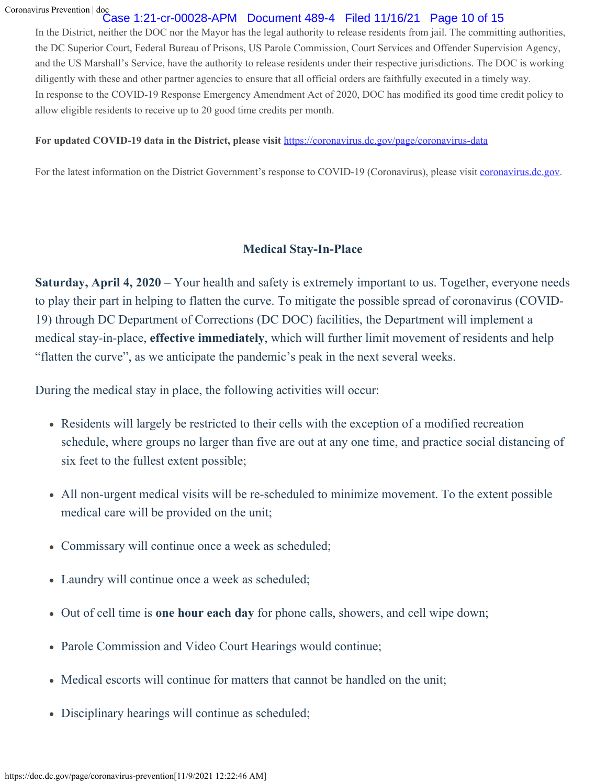## Case 1:21-cr-00028-APM Document 489-4 Filed 11/16/21 Page 10 of 15

In the District, neither the DOC nor the Mayor has the legal authority to release residents from jail. The committing authorities, the DC Superior Court, Federal Bureau of Prisons, US Parole Commission, Court Services and Offender Supervision Agency, and the US Marshall's Service, have the authority to release residents under their respective jurisdictions. The DOC is working diligently with these and other partner agencies to ensure that all official orders are faithfully executed in a timely way. In response to the COVID-19 Response Emergency Amendment Act of 2020, DOC has modified its good time credit policy to allow eligible residents to receive up to 20 good time credits per month.

#### **For updated COVID-19 data in the District, please visit** <https://coronavirus.dc.gov/page/coronavirus-data>

For the latest information on the District Government's response to COVID-19 (Coronavirus), please visit [coronavirus.dc.gov](https://coronavirus.dc.gov./).

# **Medical Stay-In-Place**

**Saturday, April 4, 2020** – Your health and safety is extremely important to us. Together, everyone needs to play their part in helping to flatten the curve. To mitigate the possible spread of coronavirus (COVID-19) through DC Department of Corrections (DC DOC) facilities, the Department will implement a medical stay-in-place, **effective immediately**, which will further limit movement of residents and help "flatten the curve", as we anticipate the pandemic's peak in the next several weeks.

During the medical stay in place, the following activities will occur:

- Residents will largely be restricted to their cells with the exception of a modified recreation schedule, where groups no larger than five are out at any one time, and practice social distancing of six feet to the fullest extent possible;
- All non-urgent medical visits will be re-scheduled to minimize movement. To the extent possible medical care will be provided on the unit;
- Commissary will continue once a week as scheduled;
- Laundry will continue once a week as scheduled;
- Out of cell time is **one hour each day** for phone calls, showers, and cell wipe down;
- Parole Commission and Video Court Hearings would continue;
- Medical escorts will continue for matters that cannot be handled on the unit;
- Disciplinary hearings will continue as scheduled;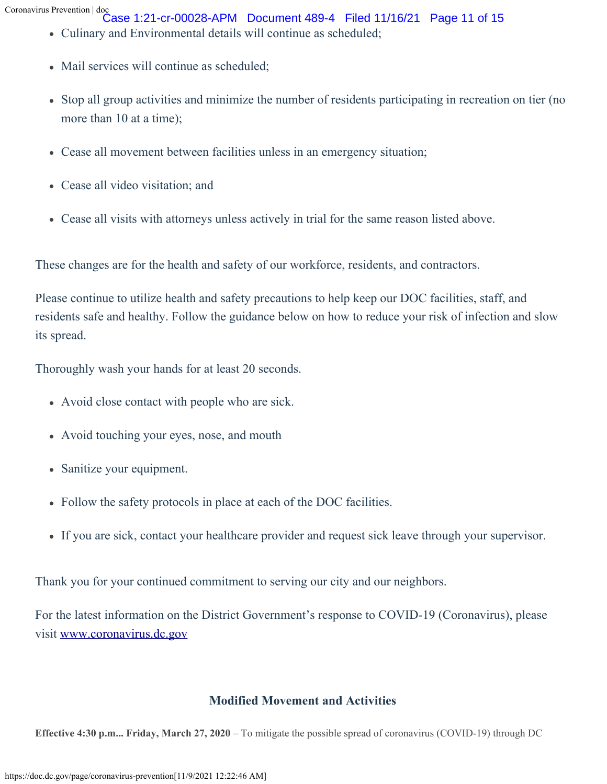- Case 1:21-cr-00028-APM Document 489-4 Filed 11/16/21 Page 11 of 15
- Culinary and Environmental details will continue as scheduled;
- Mail services will continue as scheduled;
- Stop all group activities and minimize the number of residents participating in recreation on tier (no more than 10 at a time);
- Cease all movement between facilities unless in an emergency situation;
- Cease all video visitation; and
- Cease all visits with attorneys unless actively in trial for the same reason listed above.

These changes are for the health and safety of our workforce, residents, and contractors.

Please continue to utilize health and safety precautions to help keep our DOC facilities, staff, and residents safe and healthy. Follow the guidance below on how to reduce your risk of infection and slow its spread.

Thoroughly wash your hands for at least 20 seconds.

- Avoid close contact with people who are sick.
- Avoid touching your eyes, nose, and mouth
- Sanitize your equipment.
- Follow the safety protocols in place at each of the DOC facilities.
- If you are sick, contact your healthcare provider and request sick leave through your supervisor.

Thank you for your continued commitment to serving our city and our neighbors.

For the latest information on the District Government's response to COVID-19 (Coronavirus), please visit [www.coronavirus.dc.gov](https://coronavirus.dc.gov/)

# **Modified Movement and Activities**

**Effective 4:30 p.m... Friday, March 27, 2020** – To mitigate the possible spread of coronavirus (COVID-19) through DC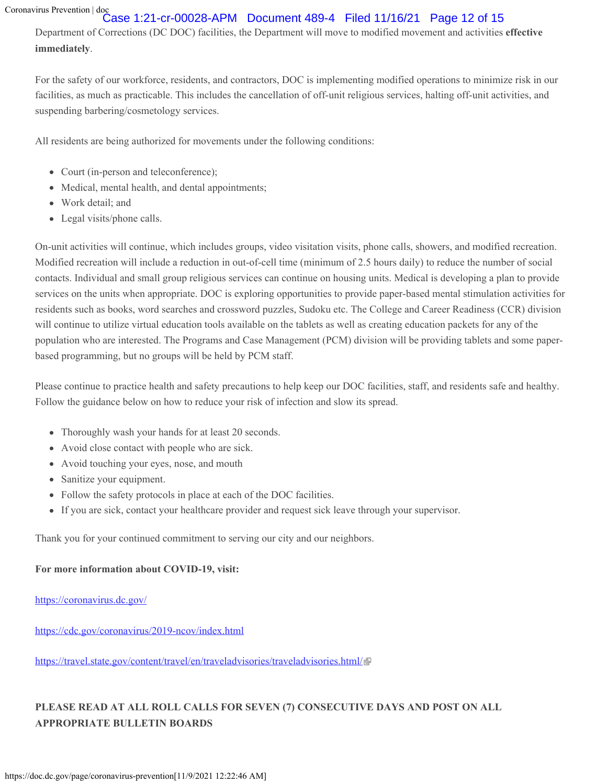# Case 1:21-cr-00028-APM Document 489-4 Filed 11/16/21 Page 12 of 15

Department of Corrections (DC DOC) facilities, the Department will move to modified movement and activities **effective immediately**.

For the safety of our workforce, residents, and contractors, DOC is implementing modified operations to minimize risk in our facilities, as much as practicable. This includes the cancellation of off-unit religious services, halting off-unit activities, and suspending barbering/cosmetology services.

All residents are being authorized for movements under the following conditions:

- Court (in-person and teleconference);
- Medical, mental health, and dental appointments;
- Work detail; and
- Legal visits/phone calls.

On-unit activities will continue, which includes groups, video visitation visits, phone calls, showers, and modified recreation. Modified recreation will include a reduction in out-of-cell time (minimum of 2.5 hours daily) to reduce the number of social contacts. Individual and small group religious services can continue on housing units. Medical is developing a plan to provide services on the units when appropriate. DOC is exploring opportunities to provide paper-based mental stimulation activities for residents such as books, word searches and crossword puzzles, Sudoku etc. The College and Career Readiness (CCR) division will continue to utilize virtual education tools available on the tablets as well as creating education packets for any of the population who are interested. The Programs and Case Management (PCM) division will be providing tablets and some paperbased programming, but no groups will be held by PCM staff.

Please continue to practice health and safety precautions to help keep our DOC facilities, staff, and residents safe and healthy. Follow the guidance below on how to reduce your risk of infection and slow its spread.

- Thoroughly wash your hands for at least 20 seconds.
- Avoid close contact with people who are sick.
- Avoid touching your eyes, nose, and mouth
- Sanitize your equipment.
- Follow the safety protocols in place at each of the DOC facilities.
- If you are sick, contact your healthcare provider and request sick leave through your supervisor.

Thank you for your continued commitment to serving our city and our neighbors.

# **For more information about COVID-19, visit:**

<https://coronavirus.dc.gov/>

<https://cdc.gov/coronavirus/2019-ncov/index.html>

<https://travel.state.gov/content/travel/en/traveladvisories/traveladvisories.html/>

# **PLEASE READ AT ALL ROLL CALLS FOR SEVEN (7) CONSECUTIVE DAYS AND POST ON ALL APPROPRIATE BULLETIN BOARDS**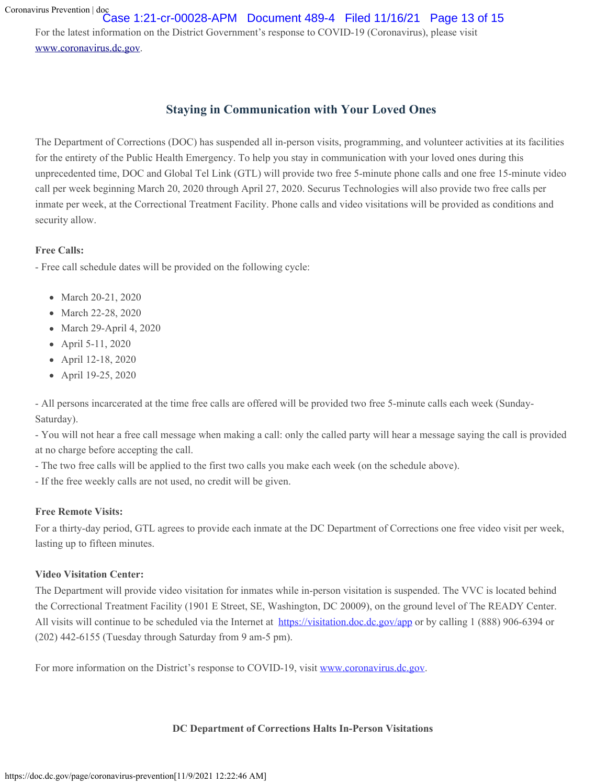For the latest information on the District Government's response to COVID-19 (Coronavirus), please visit [www.coronavirus.dc.gov.](https://coronavirus.dc.gov/) Case 1:21-cr-00028-APM Document 489-4 Filed 11/16/21 Page 13 of 15

# **Staying in Communication with Your Loved Ones**

The Department of Corrections (DOC) has suspended all in-person visits, programming, and volunteer activities at its facilities for the entirety of the Public Health Emergency. To help you stay in communication with your loved ones during this unprecedented time, DOC and Global Tel Link (GTL) will provide two free 5-minute phone calls and one free 15-minute video call per week beginning March 20, 2020 through April 27, 2020. Securus Technologies will also provide two free calls per inmate per week, at the Correctional Treatment Facility. Phone calls and video visitations will be provided as conditions and security allow.

### **Free Calls:**

- Free call schedule dates will be provided on the following cycle:

- March 20-21, 2020
- March 22-28, 2020
- March 29-April 4, 2020
- April 5-11, 2020
- April 12-18, 2020
- April 19-25, 2020

- All persons incarcerated at the time free calls are offered will be provided two free 5-minute calls each week (Sunday-Saturday).

- You will not hear a free call message when making a call: only the called party will hear a message saying the call is provided at no charge before accepting the call.

- The two free calls will be applied to the first two calls you make each week (on the schedule above).
- If the free weekly calls are not used, no credit will be given.

## **Free Remote Visits:**

For a thirty-day period, GTL agrees to provide each inmate at the DC Department of Corrections one free video visit per week, lasting up to fifteen minutes.

#### **Video Visitation Center:**

The Department will provide video visitation for inmates while in-person visitation is suspended. The VVC is located behind the Correctional Treatment Facility (1901 E Street, SE, Washington, DC 20009), on the ground level of The READY Center. All visits will continue to be scheduled via the Internet at <https://visitation.doc.dc.gov/app> or by calling 1 (888) 906-6394 or (202) 442-6155 (Tuesday through Saturday from 9 am-5 pm).

For more information on the District's response to COVID-19, visit [www.coronavirus.dc.gov.](https://coronavirus.dc.gov/)

#### **DC Department of Corrections Halts In-Person Visitations**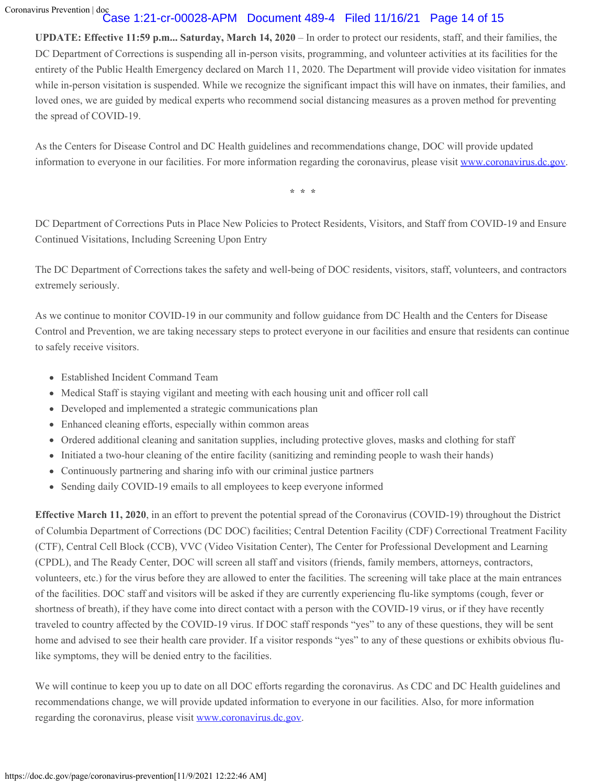# Case 1:21-cr-00028-APM Document 489-4 Filed 11/16/21 Page 14 of 15

**UPDATE: Effective 11:59 p.m... Saturday, March 14, 2020** – In order to protect our residents, staff, and their families, the DC Department of Corrections is suspending all in-person visits, programming, and volunteer activities at its facilities for the entirety of the Public Health Emergency declared on March 11, 2020. The Department will provide video visitation for inmates while in-person visitation is suspended. While we recognize the significant impact this will have on inmates, their families, and loved ones, we are guided by medical experts who recommend social distancing measures as a proven method for preventing the spread of COVID-19.

As the Centers for Disease Control and DC Health guidelines and recommendations change, DOC will provide updated information to everyone in our facilities. For more information regarding the coronavirus, please visit [www.coronavirus.dc.gov.](https://coronavirus.dc.gov/)

**\* \* \***

DC Department of Corrections Puts in Place New Policies to Protect Residents, Visitors, and Staff from COVID-19 and Ensure Continued Visitations, Including Screening Upon Entry

The DC Department of Corrections takes the safety and well-being of DOC residents, visitors, staff, volunteers, and contractors extremely seriously.

As we continue to monitor COVID-19 in our community and follow guidance from DC Health and the Centers for Disease Control and Prevention, we are taking necessary steps to protect everyone in our facilities and ensure that residents can continue to safely receive visitors.

- Established Incident Command Team
- Medical Staff is staying vigilant and meeting with each housing unit and officer roll call
- Developed and implemented a strategic communications plan
- Enhanced cleaning efforts, especially within common areas
- Ordered additional cleaning and sanitation supplies, including protective gloves, masks and clothing for staff
- Initiated a two-hour cleaning of the entire facility (sanitizing and reminding people to wash their hands)
- Continuously partnering and sharing info with our criminal justice partners
- Sending daily COVID-19 emails to all employees to keep everyone informed

**Effective March 11, 2020**, in an effort to prevent the potential spread of the Coronavirus (COVID-19) throughout the District of Columbia Department of Corrections (DC DOC) facilities; Central Detention Facility (CDF) Correctional Treatment Facility (CTF), Central Cell Block (CCB), VVC (Video Visitation Center), The Center for Professional Development and Learning (CPDL), and The Ready Center, DOC will screen all staff and visitors (friends, family members, attorneys, contractors, volunteers, etc.) for the virus before they are allowed to enter the facilities. The screening will take place at the main entrances of the facilities. DOC staff and visitors will be asked if they are currently experiencing flu-like symptoms (cough, fever or shortness of breath), if they have come into direct contact with a person with the COVID-19 virus, or if they have recently traveled to country affected by the COVID-19 virus. If DOC staff responds "yes" to any of these questions, they will be sent home and advised to see their health care provider. If a visitor responds "yes" to any of these questions or exhibits obvious flulike symptoms, they will be denied entry to the facilities.

We will continue to keep you up to date on all DOC efforts regarding the coronavirus. As CDC and DC Health guidelines and recommendations change, we will provide updated information to everyone in our facilities. Also, for more information regarding the coronavirus, please visit [www.coronavirus.dc.gov](https://coronavirus.dc.gov/).